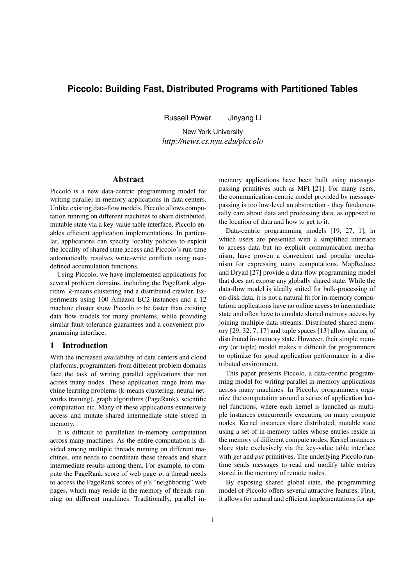# **Piccolo: Building Fast, Distributed Programs with Partitioned Tables**

Russell Power Jinyang Li

New York University *http://news.cs.nyu.edu/piccolo*

### Abstract

Piccolo is a new data-centric programming model for writing parallel in-memory applications in data centers. Unlike existing data-flow models, Piccolo allows computation running on different machines to share distributed, mutable state via a key-value table interface. Piccolo enables efficient application implementations. In particular, applications can specify locality policies to exploit the locality of shared state access and Piccolo's run-time automatically resolves write-write conflicts using userdefined accumulation functions.

Using Piccolo, we have implemented applications for several problem domains, including the PageRank algorithm, *k*-means clustering and a distributed crawler. Experiments using 100 Amazon EC2 instances and a 12 machine cluster show Piccolo to be faster than existing data flow models for many problems, while providing similar fault-tolerance guarantees and a convenient programming interface.

#### 1 Introduction

With the increased availability of data centers and cloud platforms, programmers from different problem domains face the task of writing parallel applications that run across many nodes. These application range from machine learning problems (k-means clustering, neural networks training), graph algorithms (PageRank), scientific computation etc. Many of these applications extensively access and mutate shared intermediate state stored in memory.

It is difficult to parallelize in-memory computation across many machines. As the entire computation is divided among multiple threads running on different machines, one needs to coordinate these threads and share intermediate results among them. For example, to compute the PageRank score of web page *p*, a thread needs to access the PageRank scores of *p*'s "neighboring" web pages, which may reside in the memory of threads running on different machines. Traditionally, parallel inmemory applications have been built using messagepassing primitives such as MPI [21]. For many users, the communication-centric model provided by messagepassing is too low-level an abstraction - they fundamentally care about data and processing data, as opposed to the location of data and how to get to it.

Data-centric programming models [19, 27, 1], in which users are presented with a simplified interface to access data but no explicit communication mechanism, have proven a convenient and popular mechanism for expressing many computations. MapReduce and Dryad [27] provide a data-flow programming model that does not expose any globally shared state. While the data-flow model is ideally suited for bulk-processing of on-disk data, it is not a natural fit for in-memory computation: applications have no online access to intermediate state and often have to emulate shared memory access by joining multiple data streams. Distributed shared memory [29, 32, 7, 17] and tuple spaces [13] allow sharing of distributed in-memory state. However, their simple memory (or tuple) model makes it difficult for programmers to optimize for good application performance in a distributed environment.

This paper presents Piccolo, a data-centric programming model for writing parallel in-memory applications across many machines. In Piccolo, programmers organize the computation around a series of application kernel functions, where each kernel is launched as multiple instances concurrently executing on many compute nodes. Kernel instances share distributed, mutable state using a set of in-memory tables whose entries reside in the memory of different compute nodes. Kernel instances share state exclusively via the key-value table interface with *get* and *put* primitives. The underlying Piccolo runtime sends messages to read and modify table entries stored in the memory of remote nodes.

By exposing shared global state, the programming model of Piccolo offers several attractive features. First, it allows for natural and efficient implementations for ap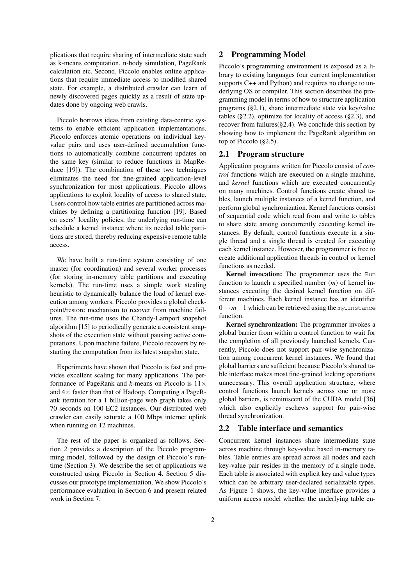plications that require sharing of intermediate state such as k-means computation, n-body simulation, PageRank calculation etc. Second, Piccolo enables online applications that require immediate access to modified shared state. For example, a distributed crawler can learn of newly discovered pages quickly as a result of state updates done by ongoing web crawls.

Piccolo borrows ideas from existing data-centric systems to enable efficient application implementations. Piccolo enforces atomic operations on individual keyvalue pairs and uses user-defined accumulation functions to automatically combine concurrent updates on the same key (similar to reduce functions in MapReduce [19]). The combination of these two techniques eliminates the need for fine-grained application-level synchronization for most applications. Piccolo allows applications to exploit locality of access to shared state. Users control how table entries are partitioned across machines by defining a partitioning function [19]. Based on users' locality policies, the underlying run-time can schedule a kernel instance where its needed table partitions are stored, thereby reducing expensive remote table access.

We have built a run-time system consisting of one master (for coordination) and several worker processes (for storing in-memory table partitions and executing kernels). The run-time uses a simple work stealing heuristic to dynamically balance the load of kernel execution among workers. Piccolo provides a global checkpoint/restore mechanism to recover from machine failures. The run-time uses the Chandy-Lamport snapshot algorithm [15] to periodically generate a consistent snapshots of the execution state without pausing active computations. Upon machine failure, Piccolo recovers by restarting the computation from its latest snapshot state.

Experiments have shown that Piccolo is fast and provides excellent scaling for many applications. The performance of PageRank and *k*-means on Piccolo is 11*×* and 4*×* faster than that of Hadoop. Computing a PageRank iteration for a 1 billion-page web graph takes only 70 seconds on 100 EC2 instances. Our distributed web crawler can easily saturate a 100 Mbps internet uplink when running on 12 machines.

The rest of the paper is organized as follows. Section 2 provides a description of the Piccolo programming model, followed by the design of Piccolo's runtime (Section 3). We describe the set of applications we constructed using Piccolo in Section 4. Section 5 discusses our prototype implementation. We show Piccolo's performance evaluation in Section 6 and present related work in Section 7.

## 2 Programming Model

Piccolo's programming environment is exposed as a library to existing languages (our current implementation supports C++ and Python) and requires no change to underlying OS or compiler. This section describes the programming model in terms of how to structure application programs (§2.1), share intermediate state via key/value tables  $(\S2.2)$ , optimize for locality of access  $(\S2.3)$ , and recover from failures(§2.4). We conclude this section by showing how to implement the PageRank algorithm on top of Piccolo (§2.5).

#### 2.1 Program structure

Application programs written for Piccolo consist of *control* functions which are executed on a single machine, and *kernel* functions which are executed concurrently on many machines. Control functions create shared tables, launch multiple instances of a kernel function, and perform global synchronization. Kernel functions consist of sequential code which read from and write to tables to share state among concurrently executing kernel instances. By default, control functions execute in a single thread and a single thread is created for executing each kernel instance. However, the programmer is free to create additional application threads in control or kernel functions as needed.

Kernel invocation: The programmer uses the Run function to launch a specified number (*m*) of kernel instances executing the desired kernel function on different machines. Each kernel instance has an identifier 0*···m−*1 which can be retrieved using the my instance function.

Kernel synchronization: The programmer invokes a global barrier from within a control function to wait for the completion of all previously launched kernels. Currently, Piccolo does not support pair-wise synchronization among concurrent kernel instances. We found that global barriers are sufficient because Piccolo's shared table interface makes most fine-grained locking operations unnecessary. This overall application structure, where control functions launch kernels across one or more global barriers, is reminiscent of the CUDA model [36] which also explicitly eschews support for pair-wise thread synchronization.

#### 2.2 Table interface and semantics

Concurrent kernel instances share intermediate state across machine through key-value based in-memory tables. Table entries are spread across all nodes and each key-value pair resides in the memory of a single node. Each table is associated with explicit key and value types which can be arbitrary user-declared serializable types. As Figure 1 shows, the key-value interface provides a uniform access model whether the underlying table en-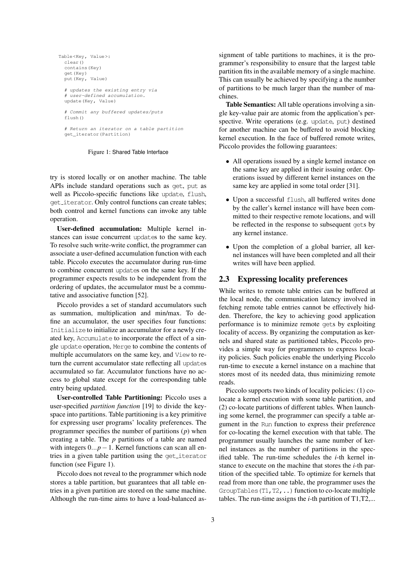```
Table<Key, Value>:
  clear ()
  contains (Key)
  get ( Key )
  put (Key, Value)
  # updates the existing entry via
  # user-defined accumulation.
  update (Key , Value )
  # Commit any buffered updates/puts
  flush ()
  # Return an iterator on a table partition
  get_iterator ( Partition )
```


try is stored locally or on another machine. The table APIs include standard operations such as get, put as well as Piccolo-specific functions like update, flush, get iterator. Only control functions can create tables; both control and kernel functions can invoke any table operation.

User-defined accumulation: Multiple kernel instances can issue concurrent updates to the same key. To resolve such write-write conflict, the programmer can associate a user-defined accumulation function with each table. Piccolo executes the accumulator during run-time to combine concurrent updates on the same key. If the programmer expects results to be independent from the ordering of updates, the accumulator must be a commutative and associative function [52].

Piccolo provides a set of standard accumulators such as summation, multiplication and min/max. To define an accumulator, the user specifies four functions: Initialize to initialize an accumulator for a newly created key, Accumulate to incorporate the effect of a single update operation, Merge to combine the contents of multiple accumulators on the same key, and View to return the current accumulator state reflecting all updates accumulated so far. Accumulator functions have no access to global state except for the corresponding table entry being updated.

User-controlled Table Partitioning: Piccolo uses a user-specified *partition function* [19] to divide the keyspace into partitions. Table partitioning is a key primitive for expressing user programs' locality preferences. The programmer specifies the number of partitions (*p*) when creating a table. The *p* partitions of a table are named with integers 0*...p−*1. Kernel functions can scan all entries in a given table partition using the get\_iterator function (see Figure 1).

Piccolo does not reveal to the programmer which node stores a table partition, but guarantees that all table entries in a given partition are stored on the same machine. Although the run-time aims to have a load-balanced assignment of table partitions to machines, it is the programmer's responsibility to ensure that the largest table partition fits in the available memory of a single machine. This can usually be achieved by specifying a the number of partitions to be much larger than the number of machines.

Table Semantics: All table operations involving a single key-value pair are atomic from the application's perspective. Write operations (e.g. update, put) destined for another machine can be buffered to avoid blocking kernel execution. In the face of buffered remote writes, Piccolo provides the following guarantees:

- All operations issued by a single kernel instance on the same key are applied in their issuing order. Operations issued by different kernel instances on the same key are applied in some total order [31].
- *•* Upon a successful flush, all buffered writes done by the caller's kernel instance will have been committed to their respective remote locations, and will be reflected in the response to subsequent gets by any kernel instance.
- *•* Upon the completion of a global barrier, all kernel instances will have been completed and all their writes will have been applied.

### 2.3 Expressing locality preferences

While writes to remote table entries can be buffered at the local node, the communication latency involved in fetching remote table entries cannot be effectively hidden. Therefore, the key to achieving good application performance is to minimize remote gets by exploiting locality of access. By organizing the computation as kernels and shared state as partitioned tables, Piccolo provides a simple way for programmers to express locality policies. Such policies enable the underlying Piccolo run-time to execute a kernel instance on a machine that stores most of its needed data, thus minimizing remote reads.

Piccolo supports two kinds of locality policies: (1) colocate a kernel execution with some table partition, and (2) co-locate partitions of different tables. When launching some kernel, the programmer can specify a table argument in the Run function to express their preference for co-locating the kernel execution with that table. The programmer usually launches the same number of kernel instances as the number of partitions in the specified table. The run-time schedules the *i*-th kernel instance to execute on the machine that stores the *i*-th partition of the specified table. To optimize for kernels that read from more than one table, the programmer uses the GroupTables  $(T1, T2, ...)$  function to co-locate multiple tables. The run-time assigns the *i*-th partition of T1,T2,...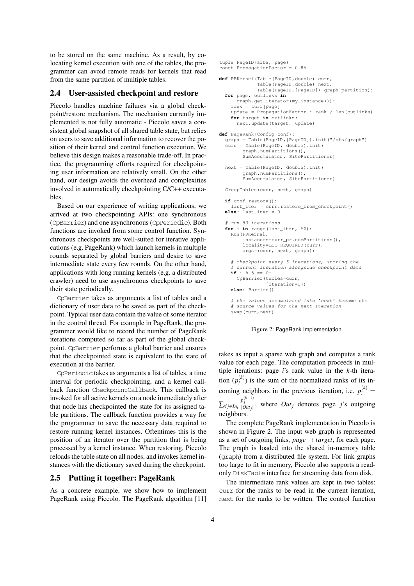to be stored on the same machine. As a result, by colocating kernel execution with one of the tables, the programmer can avoid remote reads for kernels that read from the same partition of multiple tables.

#### 2.4 User-assisted checkpoint and restore

Piccolo handles machine failures via a global checkpoint/restore mechanism. The mechanism currently implemented is not fully automatic - Piccolo saves a consistent global snapshot of all shared table state, but relies on users to save additional information to recover the position of their kernel and control function execution. We believe this design makes a reasonable trade-off. In practice, the programming efforts required for checkpointing user information are relatively small. On the other hand, our design avoids the overhead and complexities involved in automatically checkpointing C/C++ executables.

Based on our experience of writing applications, we arrived at two checkpointing APIs: one synchronous (CpBarrier) and one asynchronous (CpPeriodic). Both functions are invoked from some control function. Synchronous checkpoints are well-suited for iterative applications (e.g. PageRank) which launch kernels in multiple rounds separated by global barriers and desire to save intermediate state every few rounds. On the other hand, applications with long running kernels (e.g. a distributed crawler) need to use asynchronous checkpoints to save their state periodically.

CpBarrier takes as arguments a list of tables and a dictionary of user data to be saved as part of the checkpoint. Typical user data contain the value of some iterator in the control thread. For example in PageRank, the programmer would like to record the number of PageRank iterations computed so far as part of the global checkpoint. CpBarrier performs a global barrier and ensures that the checkpointed state is equivalent to the state of execution at the barrier.

CpPeriodic takes as arguments a list of tables, a time interval for periodic checkpointing, and a kernel callback function CheckpointCallback. This callback is invoked for all active kernels on a node immediately after that node has checkpointed the state for its assigned table partitions. The callback function provides a way for the programmer to save the necessary data required to restore running kernel instances. Oftentimes this is the position of an iterator over the partition that is being processed by a kernel instance. When restoring, Piccolo reloads the table state on all nodes, and invokes kernel instances with the dictionary saved during the checkpoint.

## 2.5 Putting it together: PageRank

As a concrete example, we show how to implement PageRank using Piccolo. The PageRank algorithm [11]

```
tuple PageID (site, page)
const PropagationFactor = 0.85
def PRKernel ( Table ( PageID , double ) curr ,
              Table (PageID, double) next,
              Table (PageID, [PageID]) graph_partition):
  for page, outlinks in
      graph.get_iterator(my_instance()):
    rank = curr [ page ]
    update = PropagationFactor * rank / len (outlinks)
    for target in outlinks :
      next.update(target, update)
def PageRank (Config conf):
  graph = Table (PageID, [PageID]). init ("/dfs/graph")
  curr = Table (PageID, double).init (<br>graph.numPartitions (),
         SumAccumulator, SitePartitioner)
  next = Table (PageID, double). init (
         graph . numPartitions () ,
         SumAccumulator , SitePartitioner )
  GroupTables ( curr , next , graph )
  if conf . restore ():
    last_iter = curr . restore_from_checkpoint ()
  else: last_iter = 0
  # run 50 iterations
  for i in range ( last_iter , 50):
    Run ( PRKernel ,
         instances = curr_pr . numPartitions () ,
         locality=LOC_REQUIRED ( curr ),
         args = (curr, next, graph))# checkpoint every 5 iterations, storing the
     # current iteration alongside checkpoint data
    if i % 5 == 0:
      CpBarrier ( tables = curr ,
                 { iteration =i })
    else: Barrier ()
     # the values accumulated into 'next' become the
     # source values for the next iteration
    swap ( curr , next )
```


takes as input a sparse web graph and computes a rank value for each page. The computation proceeds in multiple iterations: page *i*'s rank value in the *k*-th iteration  $(p_i^{(k)}$  $i^{(k)}$ ) is the sum of the normalized ranks of its incoming neighbors in the previous iteration, i.e.  $p_i^{(k)} =$  $\sum \forall j \in In_i$   $\frac{p_j^{(k-1)}}{|Out_j|}$ , where *Out<sub>j</sub>* denotes page *j*'s outgoing neighbors.

The complete PageRank implementation in Piccolo is shown in Figure 2. The input web graph is represented as a set of outgoing links,  $page \rightarrow target$ , for each page. The graph is loaded into the shared in-memory table (graph) from a distributed file system. For link graphs too large to fit in memory, Piccolo also supports a readonly DiskTable interface for streaming data from disk.

The intermediate rank values are kept in two tables: curr for the ranks to be read in the current iteration, next for the ranks to be written. The control function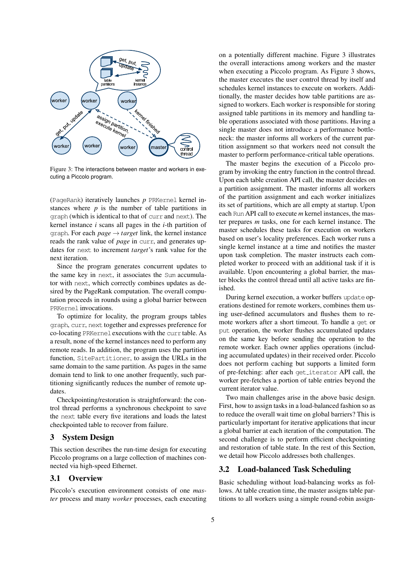

Figure 3: The interactions between master and workers in executing a Piccolo program.

(PageRank) iteratively launches *p* PRKernel kernel instances where  $p$  is the number of table partitions in graph (which is identical to that of curr and next). The kernel instance *i* scans all pages in the *i*-th partition of graph. For each *page → target* link, the kernel instance reads the rank value of *page* in curr, and generates updates for next to increment *target*'s rank value for the next iteration.

Since the program generates concurrent updates to the same key in next, it associates the Sum accumulator with next, which correctly combines updates as desired by the PageRank computation. The overall computation proceeds in rounds using a global barrier between PRKernel invocations.

To optimize for locality, the program groups tables graph, curr, next together and expresses preference for co-locating PRKernel executions with the curr table. As a result, none of the kernel instances need to perform any remote reads. In addition, the program uses the partition function, SitePartitioner, to assign the URLs in the same domain to the same partition. As pages in the same domain tend to link to one another frequently, such partitioning significantly reduces the number of remote updates.

Checkpointing/restoration is straightforward: the control thread performs a synchronous checkpoint to save the next table every five iterations and loads the latest checkpointed table to recover from failure.

#### 3 System Design

This section describes the run-time design for executing Piccolo programs on a large collection of machines connected via high-speed Ethernet.

## 3.1 Overview

Piccolo's execution environment consists of one *master* process and many *worker* processes, each executing on a potentially different machine. Figure 3 illustrates the overall interactions among workers and the master when executing a Piccolo program. As Figure 3 shows, the master executes the user control thread by itself and schedules kernel instances to execute on workers. Additionally, the master decides how table partitions are assigned to workers. Each worker is responsible for storing assigned table partitions in its memory and handling table operations associated with those partitions. Having a single master does not introduce a performance bottleneck: the master informs all workers of the current partition assignment so that workers need not consult the master to perform performance-critical table operations.

The master begins the execution of a Piccolo program by invoking the entry function in the control thread. Upon each table creation API call, the master decides on a partition assignment. The master informs all workers of the partition assignment and each worker initializes its set of partitions, which are all empty at startup. Upon each Run API call to execute *m* kernel instances, the master prepares *m* tasks, one for each kernel instance. The master schedules these tasks for execution on workers based on user's locality preferences. Each worker runs a single kernel instance at a time and notifies the master upon task completion. The master instructs each completed worker to proceed with an additional task if it is available. Upon encountering a global barrier, the master blocks the control thread until all active tasks are finished.

During kernel execution, a worker buffers update operations destined for remote workers, combines them using user-defined accumulators and flushes them to remote workers after a short timeout. To handle a get or put operation, the worker flushes accumulated updates on the same key before sending the operation to the remote worker. Each owner applies operations (including accumulated updates) in their received order. Piccolo does not perform caching but supports a limited form of pre-fetching: after each get iterator API call, the worker pre-fetches a portion of table entries beyond the current iterator value.

Two main challenges arise in the above basic design. First, how to assign tasks in a load-balanced fashion so as to reduce the overall wait time on global barriers? This is particularly important for iterative applications that incur a global barrier at each iteration of the computation. The second challenge is to perform efficient checkpointing and restoration of table state. In the rest of this Section, we detail how Piccolo addresses both challenges.

## 3.2 Load-balanced Task Scheduling

Basic scheduling without load-balancing works as follows. At table creation time, the master assigns table partitions to all workers using a simple round-robin assign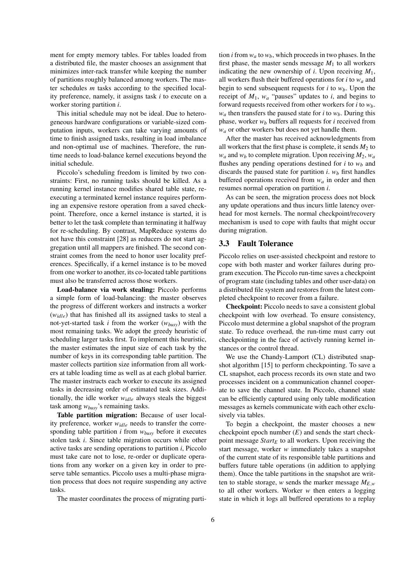ment for empty memory tables. For tables loaded from a distributed file, the master chooses an assignment that minimizes inter-rack transfer while keeping the number of partitions roughly balanced among workers. The master schedules *m* tasks according to the specified locality preference, namely, it assigns task *i* to execute on a worker storing partition *i*.

This initial schedule may not be ideal. Due to heterogeneous hardware configurations or variable-sized computation inputs, workers can take varying amounts of time to finish assigned tasks, resulting in load imbalance and non-optimal use of machines. Therefore, the runtime needs to load-balance kernel executions beyond the initial schedule.

Piccolo's scheduling freedom is limited by two constraints: First, no running tasks should be killed. As a running kernel instance modifies shared table state, reexecuting a terminated kernel instance requires performing an expensive restore operation from a saved checkpoint. Therefore, once a kernel instance is started, it is better to let the task complete than terminating it halfway for re-scheduling. By contrast, MapReduce systems do not have this constraint [28] as reducers do not start aggregation until all mappers are finished. The second constraint comes from the need to honor user locality preferences. Specifically, if a kernel instance is to be moved from one worker to another, its co-located table partitions must also be transferred across those workers.

Load-balance via work stealing: Piccolo performs a simple form of load-balancing: the master observes the progress of different workers and instructs a worker (*widle*) that has finished all its assigned tasks to steal a not-yet-started task *i* from the worker (*wbusy*) with the most remaining tasks. We adopt the greedy heuristic of scheduling larger tasks first. To implement this heuristic, the master estimates the input size of each task by the number of keys in its corresponding table partition. The master collects partition size information from all workers at table loading time as well as at each global barrier. The master instructs each worker to execute its assigned tasks in decreasing order of estimated task sizes. Additionally, the idle worker *widle* always steals the biggest task among *wbusy*'s remaining tasks.

Table partition migration: Because of user locality preference, worker *widle* needs to transfer the corresponding table partition *i* from *wbusy* before it executes stolen task *i*. Since table migration occurs while other active tasks are sending operations to partition *i*, Piccolo must take care not to lose, re-order or duplicate operations from any worker on a given key in order to preserve table semantics. Piccolo uses a multi-phase migration process that does not require suspending any active tasks.

The master coordinates the process of migrating parti-

tion *i* from  $w_a$  to  $w_b$ , which proceeds in two phases. In the first phase, the master sends message  $M_1$  to all workers indicating the new ownership of *i*. Upon receiving *M*1, all workers flush their buffered operations for *i* to *w<sup>a</sup>* and begin to send subsequent requests for  $i$  to  $w_b$ . Upon the receipt of  $M_1$ ,  $w_a$  "pauses" updates to *i*, and begins to forward requests received from other workers for *i* to *wb*.  $w_a$  then transfers the paused state for *i* to  $w_b$ . During this phase, worker  $w_b$  buffers all requests for *i* received from  $w_a$  or other workers but does not yet handle them.

After the master has received acknowledgments from all workers that the first phase is complete, it sends  $M_2$  to  $w_a$  and  $w_b$  to complete migration. Upon receiving  $M_2$ ,  $w_a$ flushes any pending operations destined for  $i$  to  $w_b$  and discards the paused state for partition *i*. *w<sup>b</sup>* first handles buffered operations received from  $w_a$  in order and then resumes normal operation on partition *i*.

As can be seen, the migration process does not block any update operations and thus incurs little latency overhead for most kernels. The normal checkpoint/recovery mechanism is used to cope with faults that might occur during migration.

#### 3.3 Fault Tolerance

Piccolo relies on user-assisted checkpoint and restore to cope with both master and worker failures during program execution. The Piccolo run-time saves a checkpoint of program state (including tables and other user-data) on a distributed file system and restores from the latest completed checkpoint to recover from a failure.

Checkpoint: Piccolo needs to save a consistent global checkpoint with low overhead. To ensure consistency, Piccolo must determine a global snapshot of the program state. To reduce overhead, the run-time must carry out checkpointing in the face of actively running kernel instances or the control thread.

We use the Chandy-Lamport (CL) distributed snapshot algorithm [15] to perform checkpointing. To save a CL snapshot, each process records its own state and two processes incident on a communication channel cooperate to save the channel state. In Piccolo, channel state can be efficiently captured using only table modification messages as kernels communicate with each other exclusively via tables.

To begin a checkpoint, the master chooses a new checkpoint epoch number  $(E)$  and sends the start checkpoint message *Start<sup>E</sup>* to all workers. Upon receiving the start message, worker *w* immediately takes a snapshot of the current state of its responsible table partitions and buffers future table operations (in addition to applying them). Once the table partitions in the snapshot are written to stable storage, *w* sends the marker message  $M_{E,w}$ to all other workers. Worker *w* then enters a logging state in which it logs all buffered operations to a replay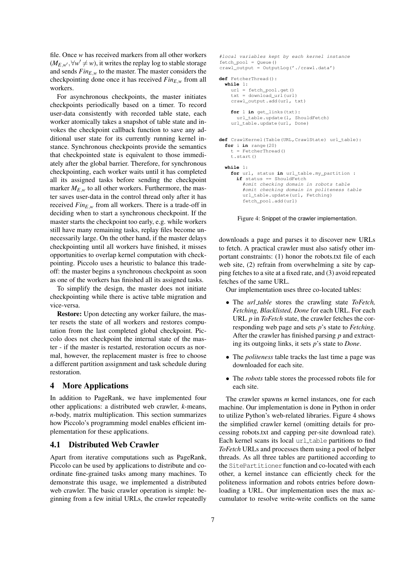file. Once *w* has received markers from all other workers  $(M_{E,w'}, \forall w' \neq w)$ , it writes the replay log to stable storage and sends  $Fin_{E,w}$  to the master. The master considers the checkpointing done once it has received  $Fin_{E,w}$  from all workers.

For asynchronous checkpoints, the master initiates checkpoints periodically based on a timer. To record user-data consistently with recorded table state, each worker atomically takes a snapshot of table state and invokes the checkpoint callback function to save any additional user state for its currently running kernel instance. Synchronous checkpoints provide the semantics that checkpointed state is equivalent to those immediately after the global barrier. Therefore, for synchronous checkpointing, each worker waits until it has completed all its assigned tasks before sending the checkpoint marker  $M_{E,w}$  to all other workers. Furthermore, the master saves user-data in the control thread only after it has received  $Fin_{E,w}$  from all workers. There is a trade-off in deciding when to start a synchronous checkpoint. If the master starts the checkpoint too early, e.g. while workers still have many remaining tasks, replay files become unnecessarily large. On the other hand, if the master delays checkpointing until all workers have finished, it misses opportunities to overlap kernel computation with checkpointing. Piccolo uses a heuristic to balance this tradeoff: the master begins a synchronous checkpoint as soon as one of the workers has finished all its assigned tasks.

To simplify the design, the master does not initiate checkpointing while there is active table migration and vice-versa.

Restore: Upon detecting any worker failure, the master resets the state of all workers and restores computation from the last completed global checkpoint. Piccolo does not checkpoint the internal state of the master - if the master is restarted, restoration occurs as normal, however, the replacement master is free to choose a different partition assignment and task schedule during restoration.

#### 4 More Applications

In addition to PageRank, we have implemented four other applications: a distributed web crawler, *k*-means, *n*-body, matrix multiplication. This section summarizes how Piccolo's programming model enables efficient implementation for these applications.

#### 4.1 Distributed Web Crawler

Apart from iterative computations such as PageRank, Piccolo can be used by applications to distribute and coordinate fine-grained tasks among many machines. To demonstrate this usage, we implemented a distributed web crawler. The basic crawler operation is simple: beginning from a few initial URLs, the crawler repeatedly

```
#local variables kept by each kernel instance
fetch_pool = Queue ()
crawl_output = OutputLog ( './ crawl . data ')
def FetcherThread ():
  while 1:
    url = fetch_pool . get ()
    txt = download_url(url)crawl_output.add(url, txt)
    for 1 in get links (txt):
      url_table.update(1, ShouldFetch)
    url_table . update (url , Done )
def CrawlKernel (Table (URL, CrawlState) url table):
  for i in range (20)<br>
t = \text{FetcherThread}()t. start ()
  while 1:
    for url, status in url_table.my_partition :
      if status == ShouldFetch
         #omit checking domain in robots table
         #omit checking domain in politeness table
         url_table.update(url, Fetching)
         fetch_pool . add ( url )
```
Figure 4: Snippet of the crawler implementation.

downloads a page and parses it to discover new URLs to fetch. A practical crawler must also satisfy other important constraints: (1) honor the robots.txt file of each web site, (2) refrain from overwhelming a site by capping fetches to a site at a fixed rate, and (3) avoid repeated fetches of the same URL.

Our implementation uses three co-located tables:

- *•* The *url table* stores the crawling state *ToFetch, Fetching, Blacklisted, Done* for each URL. For each URL *p* in *ToFetch* state, the crawler fetches the corresponding web page and sets *p*'s state to *Fetching*. After the crawler has finished parsing *p* and extracting its outgoing links, it sets *p*'s state to *Done*.
- *•* The *politeness* table tracks the last time a page was downloaded for each site.
- *•* The *robots* table stores the processed robots file for each site.

The crawler spawns *m* kernel instances, one for each machine. Our implementation is done in Python in order to utilize Python's web-related libraries. Figure 4 shows the simplified crawler kernel (omitting details for processing robots.txt and capping per-site download rate). Each kernel scans its local url\_table partitions to find *ToFetch* URLs and processes them using a pool of helper threads. As all three tables are partitioned according to the SitePartitioner function and co-located with each other, a kernel instance can efficiently check for the politeness information and robots entries before downloading a URL. Our implementation uses the max accumulator to resolve write-write conflicts on the same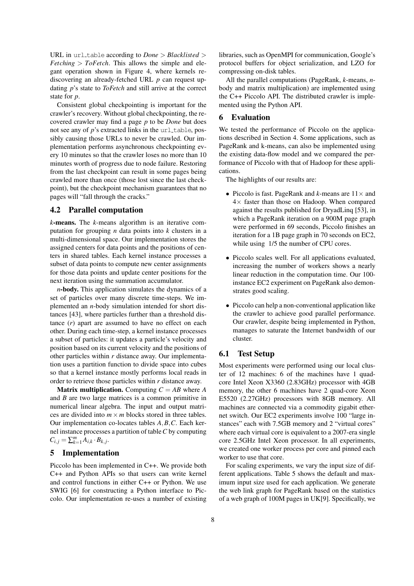URL in url table according to *Done > Blacklisted >*  $Fetching \geq ToFetch.$  This allows the simple and elegant operation shown in Figure 4, where kernels rediscovering an already-fetched URL *p* can request updating *p*'s state to *ToFetch* and still arrive at the correct state for *p*.

Consistent global checkpointing is important for the crawler's recovery. Without global checkpointing, the recovered crawler may find a page *p* to be *Done* but does not see any of  $p$ 's extracted links in the url\_table, possibly causing those URLs to never be crawled. Our implementation performs asynchronous checkpointing every 10 minutes so that the crawler loses no more than 10 minutes worth of progress due to node failure. Restoring from the last checkpoint can result in some pages being crawled more than once (those lost since the last checkpoint), but the checkpoint mechanism guarantees that no pages will "fall through the cracks."

#### 4.2 Parallel computation

*k*-means. The *k*-means algorithm is an iterative computation for grouping *n* data points into *k* clusters in a multi-dimensional space. Our implementation stores the assigned centers for data points and the positions of centers in shared tables. Each kernel instance processes a subset of data points to compute new center assignments for those data points and update center positions for the next iteration using the summation accumulator.

*n*-body. This application simulates the dynamics of a set of particles over many discrete time-steps. We implemented an *n*-body simulation intended for short distances [43], where particles further than a threshold distance (*r*) apart are assumed to have no effect on each other. During each time-step, a kernel instance processes a subset of particles: it updates a particle's velocity and position based on its current velocity and the positions of other particles within *r* distance away. Our implementation uses a partition function to divide space into cubes so that a kernel instance mostly performs local reads in order to retrieve those particles within *r* distance away.

**Matrix multiplication.** Computing  $C = AB$  where A and *B* are two large matrices is a common primitive in numerical linear algebra. The input and output matrices are divided into *m×m* blocks stored in three tables. Our implementation co-locates tables *A,B,C*. Each kernel instance processes a partition of table*C* by computing  $C_{i,j} = \sum_{k=1}^{m} A_{i,k} \cdot B_{k,j}.$ 

#### 5 Implementation

Piccolo has been implemented in C++. We provide both C++ and Python APIs so that users can write kernel and control functions in either C++ or Python. We use SWIG [6] for constructing a Python interface to Piccolo. Our implementation re-uses a number of existing

libraries, such as OpenMPI for communication, Google's protocol buffers for object serialization, and LZO for compressing on-disk tables.

All the parallel computations (PageRank, *k*-means, *n*body and matrix multiplication) are implemented using the C++ Piccolo API. The distributed crawler is implemented using the Python API.

#### 6 Evaluation

We tested the performance of Piccolo on the applications described in Section 4. Some applications, such as PageRank and k-means, can also be implemented using the existing data-flow model and we compared the performance of Piccolo with that of Hadoop for these applications.

The highlights of our results are:

- *•* Piccolo is fast. PageRank and *k*-means are 11*×* and 4*×* faster than those on Hadoop. When compared against the results published for DryadLinq [53], in which a PageRank iteration on a 900M page graph were performed in 69 seconds, Piccolo finishes an iteration for a 1B page graph in 70 seconds on EC2, while using  $1/5$  the number of CPU cores.
- Piccolo scales well. For all applications evaluated, increasing the number of workers shows a nearly linear reduction in the computation time. Our 100 instance EC2 experiment on PageRank also demonstrates good scaling.
- *•* Piccolo can help a non-conventional application like the crawler to achieve good parallel performance. Our crawler, despite being implemented in Python, manages to saturate the Internet bandwidth of our cluster.

## 6.1 Test Setup

Most experiments were performed using our local cluster of 12 machines: 6 of the machines have 1 quadcore Intel Xeon X3360 (2.83GHz) processor with 4GB memory, the other 6 machines have 2 quad-core Xeon E5520 (2.27GHz) processors with 8GB memory. All machines are connected via a commodity gigabit ethernet switch. Our EC2 experiments involve 100 "large instances" each with 7.5GB memory and 2 "virtual cores" where each virtual core is equivalent to a 2007-era single core 2.5GHz Intel Xeon processor. In all experiments, we created one worker process per core and pinned each worker to use that core.

For scaling experiments, we vary the input size of different applications. Table 5 shows the default and maximum input size used for each application. We generate the web link graph for PageRank based on the statistics of a web graph of 100M pages in UK[9]. Specifically, we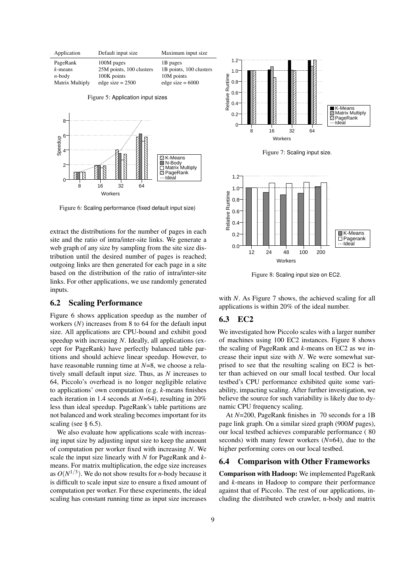

Figure 6: Scaling performance (fixed default input size)

extract the distributions for the number of pages in each site and the ratio of intra/inter-site links. We generate a web graph of any size by sampling from the site size distribution until the desired number of pages is reached; outgoing links are then generated for each page in a site based on the distribution of the ratio of intra/inter-site links. For other applications, we use randomly generated inputs.

### 6.2 Scaling Performance

Figure 6 shows application speedup as the number of workers (*N*) increases from 8 to 64 for the default input size. All applications are CPU-bound and exhibit good speedup with increasing *N*. Ideally, all applications (except for PageRank) have perfectly balanced table partitions and should achieve linear speedup. However, to have reasonable running time at *N*=8, we choose a relatively small default input size. Thus, as *N* increases to 64, Piccolo's overhead is no longer negligible relative to applications' own computation (e.g. *k*-means finishes each iteration in 1.4 seconds at *N*=64), resulting in 20% less than ideal speedup. PageRank's table partitions are not balanced and work stealing becomes important for its scaling (see § 6.5).

We also evaluate how applications scale with increasing input size by adjusting input size to keep the amount of computation per worker fixed with increasing *N*. We scale the input size linearly with *N* for PageRank and *k*means. For matrix multiplication, the edge size increases as  $O(N^{1/3})$ . We do not show results for *n*-body because it is difficult to scale input size to ensure a fixed amount of computation per worker. For these experiments, the ideal scaling has constant running time as input size increases



Figure 8: Scaling input size on EC2.

with *N*. As Figure 7 shows, the achieved scaling for all applications is within 20% of the ideal number.

## 6.3 EC2

We investigated how Piccolo scales with a larger number of machines using 100 EC2 instances. Figure 8 shows the scaling of PageRank and *k*-means on EC2 as we increase their input size with *N*. We were somewhat surprised to see that the resulting scaling on EC2 is better than achieved on our small local testbed. Our local testbed's CPU performance exhibited quite some variability, impacting scaling. After further investigation, we believe the source for such variability is likely due to dynamic CPU frequency scaling.

At *N*=200, PageRank finishes in 70 seconds for a 1B page link graph. On a similar sized graph (900*M* pages), our local testbed achieves comparable performance ( 80 seconds) with many fewer workers (*N*=64), due to the higher performing cores on our local testbed.

## 6.4 Comparison with Other Frameworks

Comparison with Hadoop: We implemented PageRank and *k*-means in Hadoop to compare their performance against that of Piccolo. The rest of our applications, including the distributed web crawler, n-body and matrix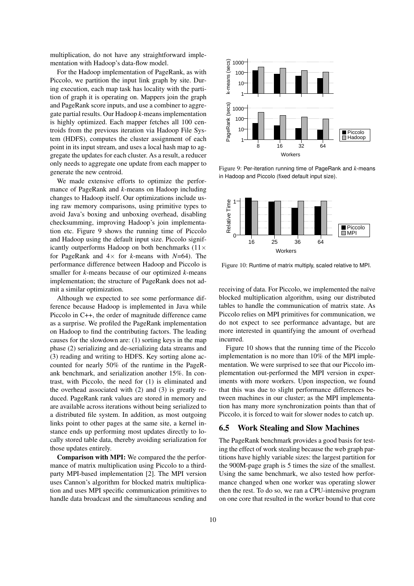multiplication, do not have any straightforward implementation with Hadoop's data-flow model.

For the Hadoop implementation of PageRank, as with Piccolo, we partition the input link graph by site. During execution, each map task has locality with the partition of graph it is operating on. Mappers join the graph and PageRank score inputs, and use a combiner to aggregate partial results. Our Hadoop *k*-means implementation is highly optimized. Each mapper fetches all 100 centroids from the previous iteration via Hadoop File System (HDFS), computes the cluster assignment of each point in its input stream, and uses a local hash map to aggregate the updates for each cluster. As a result, a reducer only needs to aggregate one update from each mapper to generate the new centroid.

We made extensive efforts to optimize the performance of PageRank and *k*-means on Hadoop including changes to Hadoop itself. Our optimizations include using raw memory comparisons, using primitive types to avoid Java's boxing and unboxing overhead, disabling checksumming, improving Hadoop's join implementation etc. Figure 9 shows the running time of Piccolo and Hadoop using the default input size. Piccolo significantly outperforms Hadoop on both benchmarks (11*×* for PageRank and 4*×* for *k*-means with *N*=64). The performance difference between Hadoop and Piccolo is smaller for *k*-means because of our optimized *k*-means implementation; the structure of PageRank does not admit a similar optimization.

Although we expected to see some performance difference because Hadoop is implemented in Java while Piccolo in C++, the order of magnitude difference came as a surprise. We profiled the PageRank implementation on Hadoop to find the contributing factors. The leading causes for the slowdown are: (1) sorting keys in the map phase (2) serializing and de-serializing data streams and (3) reading and writing to HDFS. Key sorting alone accounted for nearly 50% of the runtime in the PageRank benchmark, and serialization another 15%. In contrast, with Piccolo, the need for (1) is eliminated and the overhead associated with (2) and (3) is greatly reduced. PageRank rank values are stored in memory and are available across iterations without being serialized to a distributed file system. In addition, as most outgoing links point to other pages at the same site, a kernel instance ends up performing most updates directly to locally stored table data, thereby avoiding serialization for those updates entirely.

Comparison with MPI: We compared the the performance of matrix multiplication using Piccolo to a thirdparty MPI-based implementation [2]. The MPI version uses Cannon's algorithm for blocked matrix multiplication and uses MPI specific communication primitives to handle data broadcast and the simultaneous sending and



Figure 9: Per-iteration running time of PageRank and *k*-means in Hadoop and Piccolo (fixed default input size).



Figure 10: Runtime of matrix multiply, scaled relative to MPI.

receiving of data. For Piccolo, we implemented the naïve blocked multiplication algorithm, using our distributed tables to handle the communication of matrix state. As Piccolo relies on MPI primitives for communication, we do not expect to see performance advantage, but are more interested in quantifying the amount of overhead incurred.

Figure 10 shows that the running time of the Piccolo implementation is no more than 10% of the MPI implementation. We were surprised to see that our Piccolo implementation out-performed the MPI version in experiments with more workers. Upon inspection, we found that this was due to slight performance differences between machines in our cluster; as the MPI implementation has many more synchronization points than that of Piccolo, it is forced to wait for slower nodes to catch up.

## 6.5 Work Stealing and Slow Machines

The PageRank benchmark provides a good basis for testing the effect of work stealing because the web graph partitions have highly variable sizes: the largest partition for the 900M-page graph is 5 times the size of the smallest. Using the same benchmark, we also tested how performance changed when one worker was operating slower then the rest. To do so, we ran a CPU-intensive program on one core that resulted in the worker bound to that core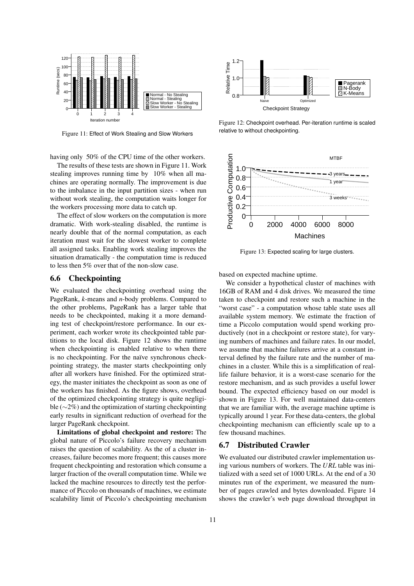

Figure 11: Effect of Work Stealing and Slow Workers

having only 50% of the CPU time of the other workers.

The results of these tests are shown in Figure 11. Work stealing improves running time by 10% when all machines are operating normally. The improvement is due to the imbalance in the input partition sizes - when run without work stealing, the computation waits longer for the workers processing more data to catch up.

The effect of slow workers on the computation is more dramatic. With work-stealing disabled, the runtime is nearly double that of the normal computation, as each iteration must wait for the slowest worker to complete all assigned tasks. Enabling work stealing improves the situation dramatically - the computation time is reduced to less then 5% over that of the non-slow case.

#### 6.6 Checkpointing

We evaluated the checkpointing overhead using the PageRank, *k*-means and *n*-body problems. Compared to the other problems, PageRank has a larger table that needs to be checkpointed, making it a more demanding test of checkpoint/restore performance. In our experiment, each worker wrote its checkpointed table partitions to the local disk. Figure 12 shows the runtime when checkpointing is enabled relative to when there is no checkpointing. For the naïve synchronous checkpointing strategy, the master starts checkpointing only after all workers have finished. For the optimized strategy, the master initiates the checkpoint as soon as one of the workers has finished. As the figure shows, overhead of the optimized checkpointing strategy is quite negligible (*∼*2%) and the optimization of starting checkpointing early results in significant reduction of overhead for the larger PageRank checkpoint.

Limitations of global checkpoint and restore: The global nature of Piccolo's failure recovery mechanism raises the question of scalability. As the of a cluster increases, failure becomes more frequent; this causes more frequent checkpointing and restoration which consume a larger fraction of the overall computation time. While we lacked the machine resources to directly test the performance of Piccolo on thousands of machines, we estimate scalability limit of Piccolo's checkpointing mechanism



Figure 12: Checkpoint overhead. Per-iteration runtime is scaled relative to without checkpointing.



Figure 13: Expected scaling for large clusters.

based on expected machine uptime.

We consider a hypothetical cluster of machines with 16GB of RAM and 4 disk drives. We measured the time taken to checkpoint and restore such a machine in the "worst case" - a computation whose table state uses all available system memory. We estimate the fraction of time a Piccolo computation would spend working productively (not in a checkpoint or restore state), for varying numbers of machines and failure rates. In our model, we assume that machine failures arrive at a constant interval defined by the failure rate and the number of machines in a cluster. While this is a simplification of reallife failure behavior, it is a worst-case scenario for the restore mechanism, and as such provides a useful lower bound. The expected efficiency based on our model is shown in Figure 13. For well maintained data-centers that we are familiar with, the average machine uptime is typically around 1 year. For these data-centers, the global checkpointing mechanism can efficiently scale up to a few thousand machines.

## 6.7 Distributed Crawler

We evaluated our distributed crawler implementation using various numbers of workers. The *URL* table was initialized with a seed set of 1000 URLs. At the end of a 30 minutes run of the experiment, we measured the number of pages crawled and bytes downloaded. Figure 14 shows the crawler's web page download throughput in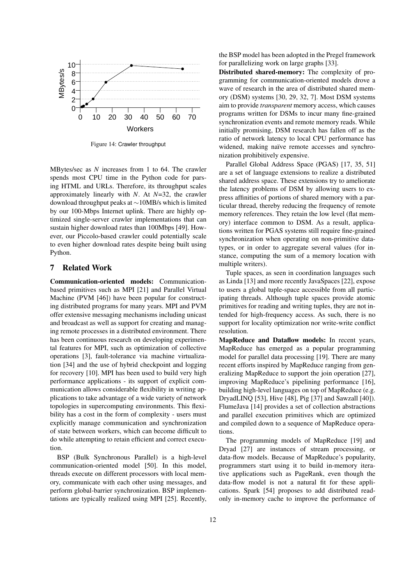

Figure 14: Crawler throughput

MBytes/sec as *N* increases from 1 to 64. The crawler spends most CPU time in the Python code for parsing HTML and URLs. Therefore, its throughput scales approximately linearly with *N*. At *N*=32, the crawler download throughput peaks at *∼*10MB/s which is limited by our 100-Mbps Internet uplink. There are highly optimized single-server crawler implementations that can sustain higher download rates than 100Mbps [49]. However, our Piccolo-based crawler could potentially scale to even higher download rates despite being built using Python.

#### 7 Related Work

Communication-oriented models: Communicationbased primitives such as MPI [21] and Parallel Virtual Machine (PVM [46]) have been popular for constructing distributed programs for many years. MPI and PVM offer extensive messaging mechanisms including unicast and broadcast as well as support for creating and managing remote processes in a distributed environment. There has been continuous research on developing experimental features for MPI, such as optimization of collective operations [3], fault-tolerance via machine virtualization [34] and the use of hybrid checkpoint and logging for recovery [10]. MPI has been used to build very high performance applications - its support of explicit communication allows considerable flexibility in writing applications to take advantage of a wide variety of network topologies in supercomputing environments. This flexibility has a cost in the form of complexity - users must explicitly manage communication and synchronization of state between workers, which can become difficult to do while attempting to retain efficient and correct execution.

BSP (Bulk Synchronous Parallel) is a high-level communication-oriented model [50]. In this model, threads execute on different processors with local memory, communicate with each other using messages, and perform global-barrier synchronization. BSP implementations are typically realized using MPI [25]. Recently, the BSP model has been adopted in the Pregel framework for parallelizing work on large graphs [33].

Distributed shared-memory: The complexity of programming for communication-oriented models drove a wave of research in the area of distributed shared memory (DSM) systems [30, 29, 32, 7]. Most DSM systems aim to provide *transparent* memory access, which causes programs written for DSMs to incur many fine-grained synchronization events and remote memory reads. While initially promising, DSM research has fallen off as the ratio of network latency to local CPU performance has widened, making naïve remote accesses and synchronization prohibitively expensive.

Parallel Global Address Space (PGAS) [17, 35, 51] are a set of language extensions to realize a distributed shared address space. These extensions try to ameliorate the latency problems of DSM by allowing users to express affinities of portions of shared memory with a particular thread, thereby reducing the frequency of remote memory references. They retain the low level (flat memory) interface common to DSM. As a result, applications written for PGAS systems still require fine-grained synchronization when operating on non-primitive datatypes, or in order to aggregate several values (for instance, computing the sum of a memory location with multiple writers).

Tuple spaces, as seen in coordination languages such as Linda [13] and more recently JavaSpaces [22], expose to users a global tuple-space accessible from all participating threads. Although tuple spaces provide atomic primitives for reading and writing tuples, they are not intended for high-frequency access. As such, there is no support for locality optimization nor write-write conflict resolution.

MapReduce and Dataflow models: In recent years, MapReduce has emerged as a popular programming model for parallel data processing [19]. There are many recent efforts inspired by MapReduce ranging from generalizing MapReduce to support the join operation [27], improving MapReduce's pipelining performance [16], building high-level languages on top of MapReduce (e.g. DryadLINQ [53], Hive [48], Pig [37] and Sawzall [40]). FlumeJava [14] provides a set of collection abstractions and parallel execution primitives which are optimized and compiled down to a sequence of MapReduce operations.

The programming models of MapReduce [19] and Dryad [27] are instances of stream processing, or data-flow models. Because of MapReduce's popularity, programmers start using it to build in-memory iterative applications such as PageRank, even though the data-flow model is not a natural fit for these applications. Spark [54] proposes to add distributed readonly in-memory cache to improve the performance of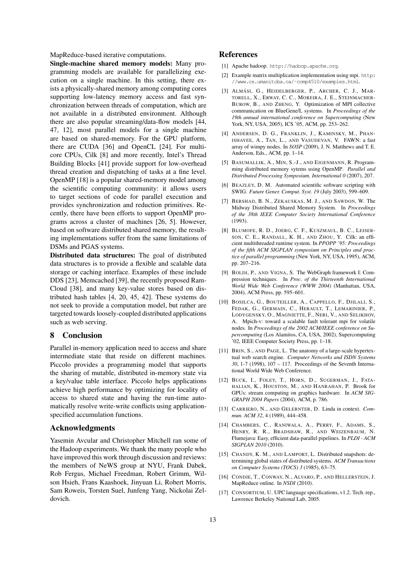MapReduce-based iterative computations.

Single-machine shared memory models: Many programming models are available for parallelizing execution on a single machine. In this setting, there exists a physically-shared memory among computing cores supporting low-latency memory access and fast synchronization between threads of computation, which are not available in a distributed environment. Although there are also popular streaming/data-flow models [44, 47, 12], most parallel models for a single machine are based on shared-memory. For the GPU platform, there are CUDA [36] and OpenCL [24]. For multicore CPUs, Cilk [8] and more recently, Intel's Thread Building Blocks [41] provide support for low-overhead thread creation and dispatching of tasks at a fine level. OpenMP [18] is a popular shared-memory model among the scientific computing community: it allows users to target sections of code for parallel execution and provides synchronization and reduction primitives. Recently, there have been efforts to support OpenMP programs across a cluster of machines [26, 5]. However, based on software distributed shared memory, the resulting implementations suffer from the same limitations of DSMs and PGAS systems.

Distributed data structures: The goal of distributed data structures is to provide a flexible and scalable data storage or caching interface. Examples of these include DDS [23], Memcached [39], the recently proposed Ram-Cloud [38], and many key-value stores based on distributed hash tables [4, 20, 45, 42]. These systems do not seek to provide a computation model, but rather are targeted towards loosely-coupled distributed applications such as web serving.

#### 8 Conclusion

Parallel in-memory application need to access and share intermediate state that reside on different machines. Piccolo provides a programming model that supports the sharing of mutable, distributed in-memory state via a key/value table interface. Piccolo helps applications achieve high performance by optimizing for locality of access to shared state and having the run-time automatically resolve write-write conflicts using applicationspecified accumulation functions.

#### Acknowledgments

Yasemin Avcular and Christopher Mitchell ran some of the Hadoop experiments. We thank the many people who have improved this work through discussion and reviews: the members of NeWS group at NYU, Frank Dabek, Rob Fergus, Michael Freedman, Robert Grimm, Wilson Hsieh, Frans Kaashoek, Jinyuan Li, Robert Morris, Sam Roweis, Torsten Suel, Junfeng Yang, Nickolai Zeldovich.

## References

- [1] Apache hadoop. http://hadoop.apache.org.
- [2] Example matrix multiplication implementation using mpi. http: //www.cs.umanitoba.ca/˜comp4510/examples.html.
- [3] ALMÁSI, G., HEIDELBERGER, P., ARCHER, C. J., MAR-TORELL, X., ERWAY, C. C., MOREIRA, J. E., STEINMACHER-BUROW, B., AND ZHENG, Y. Optimization of MPI collective communication on BlueGene/L systems. In *Proceedings of the 19th annual international conference on Supercomputing* (New York, NY, USA, 2005), ICS '05, ACM, pp. 253–262.
- [4] ANDERSEN, D. G., FRANKLIN, J., KAMINSKY, M., PHAN-ISHAYEE, A., TAN, L., AND VASUDEVAN, V. FAWN: a fast array of wimpy nodes. In *SOSP* (2009), J. N. Matthews and T. E. Anderson, Eds., ACM, pp. 1–14.
- [5] BASUMALLIK, A., MIN, S.-J., AND EIGENMANN, R. Programming distributed memory sytems using OpenMP. *Parallel and Distributed Processing Symposium, International 0* (2007), 207.
- [6] BEAZLEY, D. M. Automated scientific software scripting with SWIG. *Future Gener. Comput. Syst. 19* (July 2003), 599–609.
- [7] BERSHAD, B. N., ZEKAUSKAS, M. J., AND SAWDON, W. The Midway Distributed Shared Memory System. In *Proceedings of the 38th IEEE Computer Society International Conference* (1993).
- [8] BLUMOFE, R. D., JOERG, C. F., KUSZMAUL, B. C., LEISER-SON, C. E., RANDALL, K. H., AND ZHOU, Y. Cilk: an efficient multithreaded runtime system. In *PPOPP '95: Proceedings of the fifth ACM SIGPLAN symposium on Principles and practice of parallel programming* (New York, NY, USA, 1995), ACM, pp. 207–216.
- [9] BOLDI, P., AND VIGNA, S. The WebGraph framework I: Compression techniques. In *Proc. of the Thirteenth International World Wide Web Conference (WWW 2004)* (Manhattan, USA, 2004), ACM Press, pp. 595–601.
- [10] BOSILCA, G., BOUTEILLER, A., CAPPELLO, F., DJILALI, S., FEDAK, G., GERMAIN, C., HERAULT, T., LEMARINIER, P., LODYGENSKY, O., MAGNIETTE, F., NERI, V., AND SELIKHOV, A. Mpich-v: toward a scalable fault tolerant mpi for volatile nodes. In *Proceedings of the 2002 ACM/IEEE conference on Supercomputing* (Los Alamitos, CA, USA, 2002), Supercomputing '02, IEEE Computer Society Press, pp. 1–18.
- [11] BRIN, S., AND PAGE, L. The anatomy of a large-scale hypertextual web search engine. *Computer Networks and ISDN Systems 30*, 1-7 (1998), 107 – 117. Proceedings of the Seventh International World Wide Web Conference.
- [12] BUCK, I., FOLEY, T., HORN, D., SUGERMAN, J., FATA-HALIAN, K., HOUSTON, M., AND HANRAHAN, P. Brook for GPUs: stream computing on graphics hardware. In *ACM SIG-GRAPH 2004 Papers* (2004), ACM, p. 786.
- [13] CARRIERO, N., AND GELERNTER, D. Linda in context. *Commun. ACM 32*, 4 (1989), 444–458.
- [14] CHAMBERS, C., RANIWALA, A., PERRY, F., ADAMS, S., HENRY, R. R., BRADSHAW, R., AND WEIZENBAUM, N. Flumejava: Easy, efficient data-parallel pipelines. In *PLDI - ACM SIGPLAN 2010* (2010).
- [15] CHANDY, K. M., AND LAMPORT, L. Distributed snapshots: determining global states of distributed systems. *ACM Transactions on Computer Systems (TOCS) 3* (1985), 63–75.
- [16] CONDIE, T., CONWAY, N., ALVARO, P., AND HELLERSTEIN, J. MapReduce online. In *NSDI* (2010).
- [17] CONSORTIUM, U. UPC language specifications, v1.2. Tech. rep., Lawrence Berkeley National Lab, 2005.